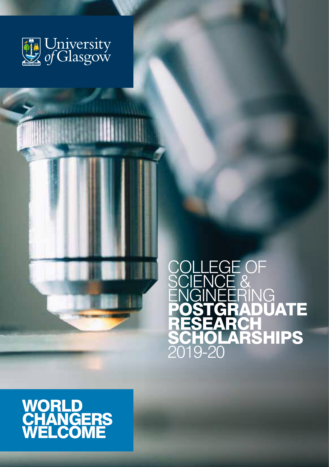

EGE OF<br>CF & SCIENCE & **ENGINEERING POSTGRADUATE** RESEARC **SCHOLARSHIPS** 2019-20

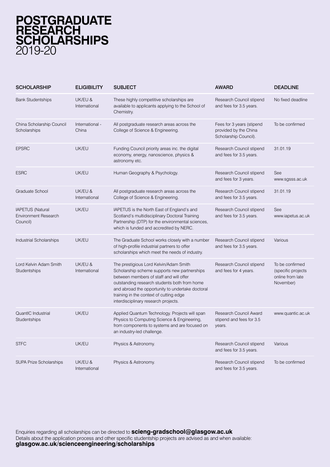## **POSTGRADUATE RESEARCH SCHOLARSHIPS** 2019-20

| <b>SCHOLARSHIP</b>                                                 | <b>ELIGIBILITY</b>       | <b>SUBJECT</b>                                                                                                                                                                                                                                                                                                           | <b>AWARD</b>                                                                | <b>DEADLINE</b>                                                        |
|--------------------------------------------------------------------|--------------------------|--------------------------------------------------------------------------------------------------------------------------------------------------------------------------------------------------------------------------------------------------------------------------------------------------------------------------|-----------------------------------------------------------------------------|------------------------------------------------------------------------|
| <b>Bank Studentships</b>                                           | UK/EU &<br>International | These highly competitive scholarships are<br>available to applicants applying to the School of<br>Chemistry.                                                                                                                                                                                                             | Research Council stipend<br>and fees for 3.5 years.                         | No fixed deadline                                                      |
| China Scholarship Council<br>Scholarships                          | International -<br>China | All postgraduate research areas across the<br>College of Science & Engineering.                                                                                                                                                                                                                                          | Fees for 3 years (stipend<br>provided by the China<br>Scholarship Council). | To be confirmed                                                        |
| <b>EPSRC</b>                                                       | UK/EU                    | Funding Council priority areas inc. the digital<br>economy, energy, nanoscience, physics &<br>astronomy etc.                                                                                                                                                                                                             | Research Council stipend<br>and fees for 3.5 years.                         | 31.01.19                                                               |
| <b>ESRC</b>                                                        | UK/EU                    | Human Geography & Psychology.                                                                                                                                                                                                                                                                                            | Research Council stipend<br>and fees for 3 years.                           | See<br>www.sgsss.ac.uk                                                 |
| Graduate School                                                    | UK/EU &<br>International | All postgraduate research areas across the<br>College of Science & Engineering.                                                                                                                                                                                                                                          | Research Council stipend<br>and fees for 3.5 years.                         | 31.01.19                                                               |
| <b>IAPETUS (Natural</b><br><b>Environment Research</b><br>Council) | UK/EU                    | IAPETUS is the North East of England's and<br>Scotland's multidisciplinary Doctoral Training<br>Partnership (DTP) for the environmental sciences,<br>which is funded and accredited by NERC.                                                                                                                             | Research Council stipend<br>and fees for 3.5 years.                         | See<br>www.iapetus.ac.uk                                               |
| Industrial Scholarships                                            | UK/EU                    | The Graduate School works closely with a number<br>of high-profile industrial partners to offer<br>scholarships which meet the needs of industry.                                                                                                                                                                        | Research Council stipend<br>and fees for 3.5 years.                         | Various                                                                |
| Lord Kelvin Adam Smith<br>Studentships                             | UK/EU &<br>International | The prestigious Lord Kelvin/Adam Smith<br>Scholarship scheme supports new partnerships<br>between members of staff and will offer<br>outstanding research students both from home<br>and abroad the opportunity to undertake doctoral<br>training in the context of cutting edge<br>interdisciplinary research projects. | Research Council stipend<br>and fees for 4 years.                           | To be confirmed<br>(specific projects<br>online from late<br>November) |
| QuantIC Industrial<br>Studentships                                 | UK/EU                    | Applied Quantum Technology. Projects will span<br>Physics to Computing Science & Engineering,<br>from components to systems and are focused on<br>an industry-led challenge.                                                                                                                                             | Research Council Award<br>stipend and fees for 3.5<br>years.                | www.quantic.ac.uk                                                      |
| <b>STFC</b>                                                        | UK/EU                    | Physics & Astronomy.                                                                                                                                                                                                                                                                                                     | Research Council stipend<br>and fees for 3.5 years.                         | Various                                                                |
| <b>SUPA Prize Scholarships</b>                                     | UK/EU &<br>International | Physics & Astronomy.                                                                                                                                                                                                                                                                                                     | Research Council stipend<br>and fees for 3.5 years.                         | To be confirmed                                                        |

Enquiries regarding all scholarships can be directed to **scieng-gradschool@glasgow.ac.uk** Details about the application process and other specific studentship projects are advised as and when available: **[glasgow.ac.uk/scienceengineering/scholarships](https://www.gla.ac.uk/colleges/scienceengineering/graduateschool/scholarships/)**